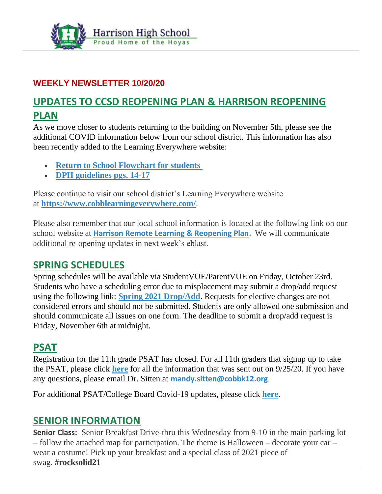

### **WEEKLY NEWSLETTER 10/20/20**

## **UPDATES TO CCSD REOPENING PLAN & HARRISON REOPENING PLAN**

As we move closer to students returning to the building on November 5th, please see the additional COVID information below from our school district. This information has also been recently added to the Learning Everywhere website:

- **[Return to School Flowchart for students](https://drive.google.com/file/d/1gCuXrGnogJ2jDb5wCxhxN97rSWsU24q_/view?usp=sharing)**
- **[DPH guidelines pgs. 14-17](https://drive.google.com/file/d/1t4uh29ZRivgnQxegED9Rk0c1qGYEHUJM/view?usp=sharing)**

Please continue to visit our school district's Learning Everywhere website at **<https://www.cobblearningeverywhere.com/>**.

Please also remember that our local school information is located at the following link on our school website at **[Harrison Remote Learning & Reopening Plan.](http://www.harrisonhigh.org/Remote-Learning-Information)** We will communicate additional re-opening updates in next week's eblast.

### **SPRING SCHEDULES**

Spring schedules will be available via StudentVUE/ParentVUE on Friday, October 23rd. Students who have a scheduling error due to misplacement may submit a drop/add request using the following link: **[Spring 2021 Drop/Add](https://harrisonhs.formstack.com/forms/spring_2021_drop_add_form)**. Requests for elective changes are not considered errors and should not be submitted. Students are only allowed one submission and should communicate all issues on one form. The deadline to submit a drop/add request is Friday, November 6th at midnight.

### **PSAT**

Registration for the 11th grade PSAT has closed. For all 11th graders that signup up to take the PSAT, please click **[here](http://www.harrisonhigh.org/PSAT)** for all the information that was sent out on 9/25/20. If you have any questions, please email Dr. Sitten at **[mandy.sitten@cobbk12.org](mailto:MANDY.SITTEN@cobbk12.org)**.

For additional PSAT/College Board Covid-19 updates, please click **[here](https://pages.collegeboard.org/sat-covid-19-updates)**.

### **SENIOR INFORMATION**

**Senior Class:** Senior Breakfast Drive-thru this Wednesday from 9-10 in the main parking lot – follow the attached map for participation. The theme is Halloween – decorate your car – wear a costume! Pick up your breakfast and a special class of 2021 piece of swag. **#rocksolid21**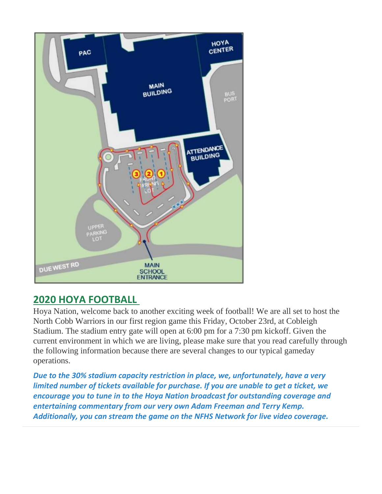

## **2020 HOYA FOOTBALL**

Hoya Nation, welcome back to another exciting week of football! We are all set to host the North Cobb Warriors in our first region game this Friday, October 23rd, at Cobleigh Stadium. The stadium entry gate will open at 6:00 pm for a 7:30 pm kickoff. Given the current environment in which we are living, please make sure that you read carefully through the following information because there are several changes to our typical gameday operations.

*Due to the 30% stadium capacity restriction in place, we, unfortunately, have a very limited number of tickets available for purchase. If you are unable to get a ticket, we encourage you to tune in to the Hoya Nation broadcast for outstanding coverage and entertaining commentary from our very own Adam Freeman and Terry Kemp. Additionally, you can stream the game on the NFHS Network for live video coverage.*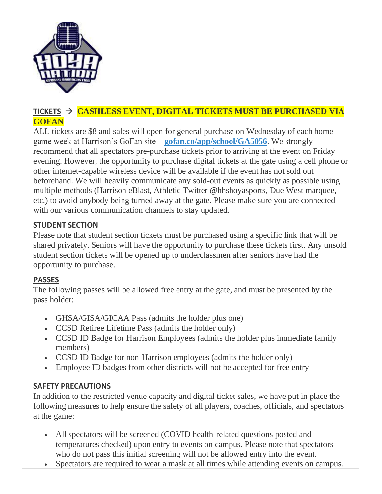

### **TICKETS** → **CASHLESS EVENT, DIGITAL TICKETS MUST BE PURCHASED VIA GOFAN**

ALL tickets are \$8 and sales will open for general purchase on Wednesday of each home game week at Harrison's GoFan site – **[gofan.co/app/school/GA5056](https://gofan.co/app/school/GA5056)**. We strongly recommend that all spectators pre-purchase tickets prior to arriving at the event on Friday evening. However, the opportunity to purchase digital tickets at the gate using a cell phone or other internet-capable wireless device will be available if the event has not sold out beforehand. We will heavily communicate any sold-out events as quickly as possible using multiple methods (Harrison eBlast, Athletic Twitter @hhshoyasports, Due West marquee, etc.) to avoid anybody being turned away at the gate. Please make sure you are connected with our various communication channels to stay updated.

#### **STUDENT SECTION**

Please note that student section tickets must be purchased using a specific link that will be shared privately. Seniors will have the opportunity to purchase these tickets first. Any unsold student section tickets will be opened up to underclassmen after seniors have had the opportunity to purchase.

### **PASSES**

The following passes will be allowed free entry at the gate, and must be presented by the pass holder:

- GHSA/GISA/GICAA Pass (admits the holder plus one)
- CCSD Retiree Lifetime Pass (admits the holder only)
- CCSD ID Badge for Harrison Employees (admits the holder plus immediate family members)
- CCSD ID Badge for non-Harrison employees (admits the holder only)
- Employee ID badges from other districts will not be accepted for free entry

### **SAFETY PRECAUTIONS**

In addition to the restricted venue capacity and digital ticket sales, we have put in place the following measures to help ensure the safety of all players, coaches, officials, and spectators at the game:

- All spectators will be screened (COVID health-related questions posted and temperatures checked) upon entry to events on campus. Please note that spectators who do not pass this initial screening will not be allowed entry into the event.
- Spectators are required to wear a mask at all times while attending events on campus.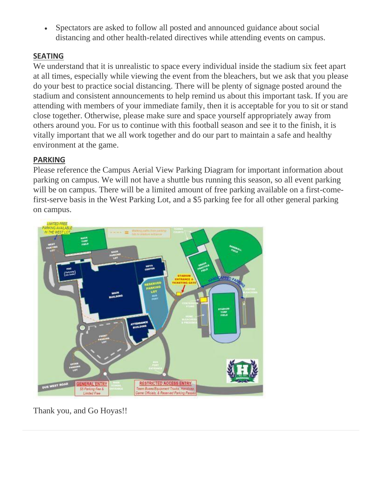• Spectators are asked to follow all posted and announced guidance about social distancing and other health-related directives while attending events on campus.

#### **SEATING**

We understand that it is unrealistic to space every individual inside the stadium six feet apart at all times, especially while viewing the event from the bleachers, but we ask that you please do your best to practice social distancing. There will be plenty of signage posted around the stadium and consistent announcements to help remind us about this important task. If you are attending with members of your immediate family, then it is acceptable for you to sit or stand close together. Otherwise, please make sure and space yourself appropriately away from others around you. For us to continue with this football season and see it to the finish, it is vitally important that we all work together and do our part to maintain a safe and healthy environment at the game.

#### **PARKING**

Please reference the Campus Aerial View Parking Diagram for important information about parking on campus. We will not have a shuttle bus running this season, so all event parking will be on campus. There will be a limited amount of free parking available on a first-comefirst-serve basis in the West Parking Lot, and a \$5 parking fee for all other general parking on campus.



Thank you, and Go Hoyas!!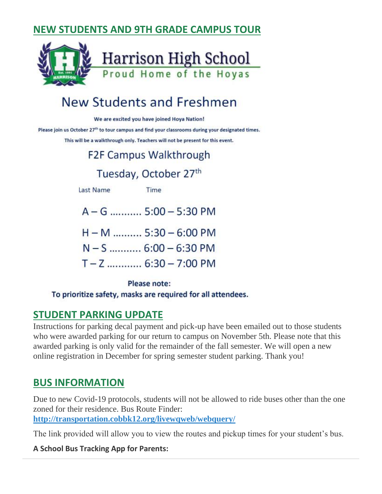## **NEW STUDENTS AND 9TH GRADE CAMPUS TOUR**



# **New Students and Freshmen**

We are excited you have joined Hoya Nation!

Please join us October 27<sup>th</sup> to tour campus and find your classrooms during your designated times.

This will be a walkthrough only. Teachers will not be present for this event.

# **F2F Campus Walkthrough**

## Tuesday, October 27th

**Last Name** 

Time

- A-G ........... 5:00 5:30 PM
- $H M$  .......... 5:30 6:00 PM
- $N S$  ............ 6:00 6:30 PM
- $T Z$  ............ 6:30 7:00 PM

#### Please note:

To prioritize safety, masks are required for all attendees.

### **STUDENT PARKING UPDATE**

Instructions for parking decal payment and pick-up have been emailed out to those students who were awarded parking for our return to campus on November 5th. Please note that this awarded parking is only valid for the remainder of the fall semester. We will open a new online registration in December for spring semester student parking. Thank you!

### **BUS INFORMATION**

Due to new Covid-19 protocols, students will not be allowed to ride buses other than the one zoned for their residence. Bus Route Finder: **<http://transportation.cobbk12.org/livewqweb/webquery/>**

The link provided will allow you to view the routes and pickup times for your student's bus.

#### **A School Bus Tracking App for Parents:**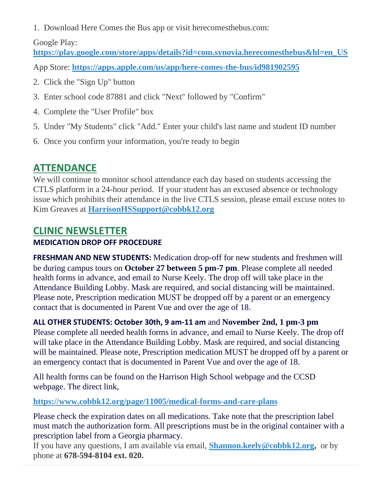1. Download Here Comes the Bus app or visit herecomesthebus.com:

### Google Play:

**[https://play.google.com/store/apps/details?id=com.synovia.herecomesthebus&hl=en\\_US](https://play.google.com/store/apps/details?id=com.synovia.herecomesthebus&hl=en_US)**

App Store: **<https://apps.apple.com/us/app/here-comes-the-bus/id981902595>**

- 2. Click the "Sign Up" button
- 3. Enter school code 87881 and click "Next" followed by "Confirm"
- 4. Complete the "User Profile" box
- 5. Under "My Students" click "Add." Enter your child's last name and student ID number
- 6. Once you confirm your information, you're ready to begin

## **ATTENDANCE**

We will continue to monitor school attendance each day based on students accessing the CTLS platform in a 24-hour period. If your student has an excused absence or technology issue which prohibits their attendance in the live CTLS session, please email excuse notes to Kim Greaves at **[HarrisonHSSupport@cobbk12.org](mailto:HarrisonHSSupport@cobbk12.org)**

## **CLINIC NEWSLETTER**

### **MEDICATION DROP OFF PROCEDURE**

**FRESHMAN AND NEW STUDENTS:** Medication drop-off for new students and freshmen will be during campus tours on **October 27 between 5 pm-7 pm**. Please complete all needed health forms in advance, and email to Nurse Keely. The drop off will take place in the Attendance Building Lobby. Mask are required, and social distancing will be maintained. Please note, Prescription medication MUST be dropped off by a parent or an emergency contact that is documented in Parent Vue and over the age of 18.

**ALL OTHER STUDENTS: October 30th, 9 am-11 am** and **November 2nd, 1 pm-3 pm**

Please complete all needed health forms in advance, and email to Nurse Keely. The drop off will take place in the Attendance Building Lobby. Mask are required, and social distancing will be maintained. Please note, Prescription medication MUST be dropped off by a parent or an emergency contact that is documented in Parent Vue and over the age of 18.

All health forms can be found on the Harrison High School webpage and the CCSD webpage. The direct link,

**<https://www.cobbk12.org/page/11005/medical-forms-and-care-plans>**

Please check the expiration dates on all medications. Take note that the prescription label must match the authorization form. All prescriptions must be in the original container with a prescription label from a Georgia pharmacy.

If you have any questions, I am available via email, **[Shannon.keely@cobbk12.org,](mailto:Shannon.Keely@cobbk12.org)** or by phone at **678-594-8104 ext. 020.**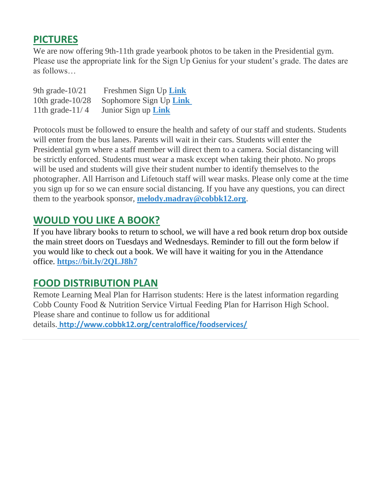### **PICTURES**

We are now offering 9th-11th grade yearbook photos to be taken in the Presidential gym. Please use the appropriate link for the Sign Up Genius for your student's grade. The dates are as follows…

| 9th grade- $10/21$  | Freshmen Sign Up Link      |
|---------------------|----------------------------|
| 10th grade- $10/28$ | Sophomore Sign Up Link     |
| 11th grade- $11/4$  | Junior Sign up <b>Link</b> |

Protocols must be followed to ensure the health and safety of our staff and students. Students will enter from the bus lanes. Parents will wait in their cars. Students will enter the Presidential gym where a staff member will direct them to a camera. Social distancing will be strictly enforced. Students must wear a mask except when taking their photo. No props will be used and students will give their student number to identify themselves to the photographer. All Harrison and Lifetouch staff will wear masks. Please only come at the time you sign up for so we can ensure social distancing. If you have any questions, you can direct them to the yearbook sponsor, **[melody.madray@cobbk12.org](mailto:melody.madray@cobbk12.org)**.

### **WOULD YOU LIKE A BOOK?**

If you have library books to return to school, we will have a red book return drop box outside the main street doors on Tuesdays and Wednesdays. Reminder to fill out the form below if you would like to check out a book. We will have it waiting for you in the Attendance office. **<https://bit.ly/2QLJ8h7>**

### **FOOD DISTRIBUTION PLAN**

Remote Learning Meal Plan for Harrison students: Here is the latest information regarding Cobb County Food & Nutrition Service Virtual Feeding Plan for Harrison High School. Please share and continue to follow us for additional details. **[http://www.cobbk12.org/centraloffice/foodservices/](http://info.cobbk12.org/centraloffice/foodservices/)**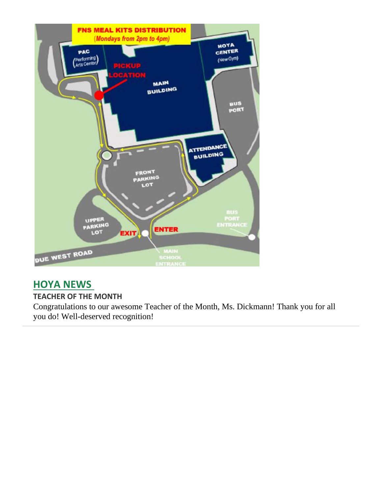

## **HOYA NEWS**

#### **TEACHER OF THE MONTH**

Congratulations to our awesome Teacher of the Month, Ms. Dickmann! Thank you for all you do! Well-deserved recognition!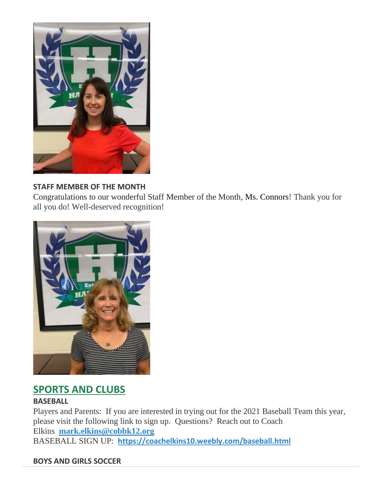

#### **STAFF MEMBER OF THE MONTH**

Congratulations to our wonderful Staff Member of the Month, Ms. Connors! Thank you for all you do! Well-deserved recognition!



## **SPORTS AND CLUBS**

#### **BASEBALL**

Players and Parents: If you are interested in trying out for the 2021 Baseball Team this year, please visit the following link to sign up. Questions? Reach out to Coach Elkins **[mark.elkins@cobbk12.org](mailto:mark.elkins@cobbk12.org)** BASEBALL SIGN UP: **<https://coachelkins10.weebly.com/baseball.html>**

#### **BOYS AND GIRLS SOCCER**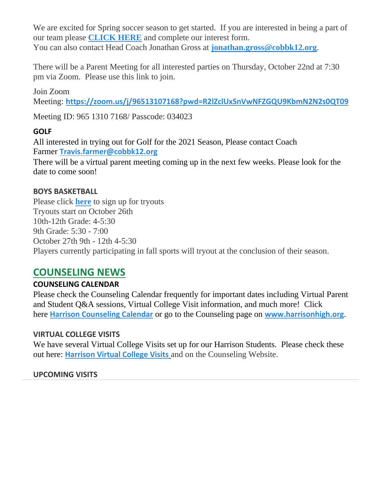We are excited for Spring soccer season to get started. If you are interested in being a part of our team please **[CLICK HERE](https://docs.google.com/forms/d/e/1FAIpQLSejVKRJ30_WmtRggRtJzXt1gSYOyU3GKbXnam36p6NlfhZtmw/viewform?vc=0&c=0&w=1&flr=0&gxids=7757)** and complete our interest form. You can also contact Head Coach Jonathan Gross at **[jonathan.gross@cobbk12.org](mailto:jonathan.gross@cobbk12.org)**.

There will be a Parent Meeting for all interested parties on Thursday, October 22nd at 7:30 pm via Zoom. Please use this link to join.

Join Zoom

Meeting: **<https://zoom.us/j/96513107168?pwd=R2lZclUxSnVwNFZGQU9KbmN2N2s0QT09>**

Meeting ID: 965 1310 7168/ Passcode: 034023

#### **GOLF**

All interested in trying out for Golf for the 2021 Season, Please contact Coach Farmer **[Travis.farmer@cobbk12.org](mailto:%20Travis.farmer@cobbk12.org)**

There will be a virtual parent meeting coming up in the next few weeks. Please look for the date to come soon!

#### **BOYS BASKETBALL**

Please click **[here](https://forms.office.com/Pages/ResponsePage.aspx?id=-x3OL5-ROEmquMR_D8kYLTD0EJWBzvxDisDeAYuASklURFBCNDVBNzM4WURSUUVYVEkwMFFPUEg1SS4u)** to sign up for tryouts Tryouts start on October 26th 10th-12th Grade: 4-5:30 9th Grade: 5:30 - 7:00 October 27th 9th - 12th 4-5:30 Players currently participating in fall sports will tryout at the conclusion of their season.

### **COUNSELING NEWS**

### **COUNSELING CALENDAR**

Please check the Counseling Calendar frequently for important dates including Virtual Parent and Student Q&A sessions, Virtual College Visit information, and much more! Click here **[Harrison Counseling Calendar](https://calendar.google.com/calendar/embed?src=tasr4q5spailsj1itftjdtn6mk%40group.calendar.google.com&ctz=America%2FNew_York)** or go to the Counseling page on **[www.harrisonhigh.org](http://www.harrisonhigh.org/)**.

#### **VIRTUAL COLLEGE VISITS**

We have several Virtual College Visits set up for our Harrison Students. Please check these out here: **[Harrison Virtual College Visits](https://cobbk12org-my.sharepoint.com/:x:/g/personal/leanna_kor_cobbk12_org/EWP6BGgLdCBOvhv5RDRuCVwBqHA2jXXmnAUqr7hXgxEU7w?rtime=t-E10MJN2Eg)** and on the Counseling Website.

#### **UPCOMING VISITS**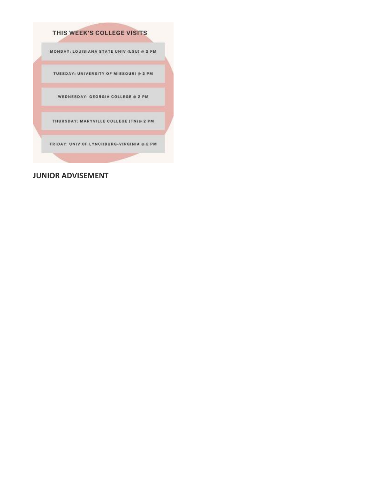

#### **JUNIOR ADVISEMENT**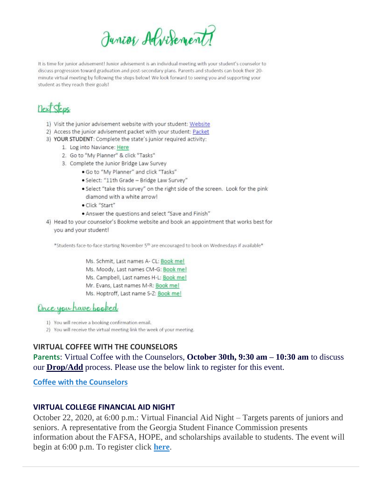Junior Advisement?

It is time for junior advisement! Junior advisement is an individual meeting with your student's counselor to discuss progression toward graduation and post-secondary plans. Parents and students can book their 20minute virtual meeting by following the steps below! We look forward to seeing you and supporting your student as they reach their goals!

# next Steps

- 1) Visit the junior advisement website with your student: Website
- 2) Access the junior advisement packet with your student: Packet
- 3) YOUR STUDENT: Complete the state's junior required activity:
	- 1. Log into Naviance: Here
	- 2. Go to "My Planner" & click "Tasks"
	- 3. Complete the Junior Bridge Law Survey
		- . Go to "My Planner" and click "Tasks"
		- · Select: "11th Grade Bridge Law Survey"
		- · Select "take this survey" on the right side of the screen. Look for the pink diamond with a white arrow!
		- · Click "Start"
		- . Answer the questions and select "Save and Finish"
- 4) Head to your counselor's Bookme website and book an appointment that works best for you and your student!

\*Students face-to-face starting November 5th are encouraged to book on Wednesdays if available\*

Ms. Schmit, Last names A- CL: Book mel Ms. Moody, Last names CM-G: Book me! Ms. Campbell, Last names H-L: Book me! Mr. Evans, Last names M-R: Book me!

Ms. Hoptroff, Last name S-Z: Book me!

Once you have booked

- 1) You will receive a booking confirmation email.
- 2) You will receive the virtual meeting link the week of your meeting.

#### **VIRTUAL COFFEE WITH THE COUNSELORS**

**Parents**: Virtual Coffee with the Counselors, **October 30th, 9:30 am – 10:30 am** to discuss our **Drop/Add** process. Please use the below link to register for this event.

**[Coffee with the Counselors](https://forms.office.com/Pages/ResponsePage.aspx?id=-x3OL5-ROEmquMR_D8kYLWW85uR8aLBInItPvCDivwpUODdYTkVaNVRYR0RMMFdKMTFBWVVTOUNFTy4u)**

#### **VIRTUAL COLLEGE FINANCIAL AID NIGHT**

October 22, 2020, at 6:00 p.m.: Virtual Financial Aid Night – Targets parents of juniors and seniors. A representative from the Georgia Student Finance Commission presents information about the FAFSA, HOPE, and scholarships available to students. The event will begin at 6:00 p.m. To register click **[here](https://forms.office.com/Pages/ResponsePage.aspx?id=-x3OL5-ROEmquMR_D8kYLWW85uR8aLBInItPvCDivwpUMUVUM1pJNEZXSExGN1dJTjhQQ0tGSzVEUi4u)**.